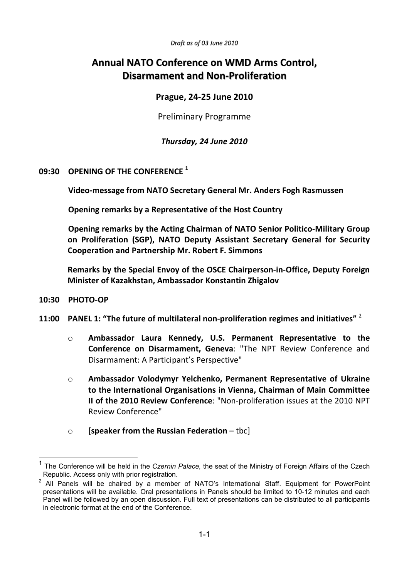*Draft as of 03 June 2010*

# **Annual NATO Conference on WMD Arms Control, Disarmament and Non-Proliferation**

# **Prague, 24-25 June 2010**

Preliminary Programme

*Thursday, 24 June 2010* 

## **09:30 OPENING OF THE CONFERENCE <sup>1</sup>**

 **Video-message from NATO Secretary General Mr. Anders Fogh Rasmussen** 

 **Opening remarks by a Representative of the Host Country**

 **Opening remarks by the Acting Chairman of NATO Senior Politico-Military Group on Proliferation (SGP), NATO Deputy Assistant Secretary General for Security Cooperation and Partnership Mr. Robert F. Simmons** 

**Remarks by the Special Envoy of the OSCE Chairperson-in-Office, Deputy Foreign Minister of Kazakhstan, Ambassador Konstantin Zhigalov** 

**10:30 PHOTO-OP** 

<u>.</u>

- **11:00 PANEL 1: "The future of multilateral non-proliferation regimes and initiatives"** <sup>2</sup>
	- o **Ambassador Laura Kennedy, U.S. Permanent Representative to the Conference on Disarmament, Geneva**: "The NPT Review Conference and Disarmament: A Participant's Perspective"
	- o **Ambassador Volodymyr Yelchenko, Permanent Representative of Ukraine to the International Organisations in Vienna, Chairman of Main Committee II of the 2010 Review Conference**: "Non-proliferation issues at the 2010 NPT Review Conference"
	- o [**speaker from the Russian Federation**  tbc]

<sup>1</sup> The Conference will be held in the *Czernin Palace,* the seat of the Ministry of Foreign Affairs of the Czech Republic. Access only with prior registration.

 $2$  All Panels will be chaired by a member of NATO's International Staff. Equipment for PowerPoint presentations will be available. Oral presentations in Panels should be limited to 10-12 minutes and each Panel will be followed by an open discussion. Full text of presentations can be distributed to all participants in electronic format at the end of the Conference.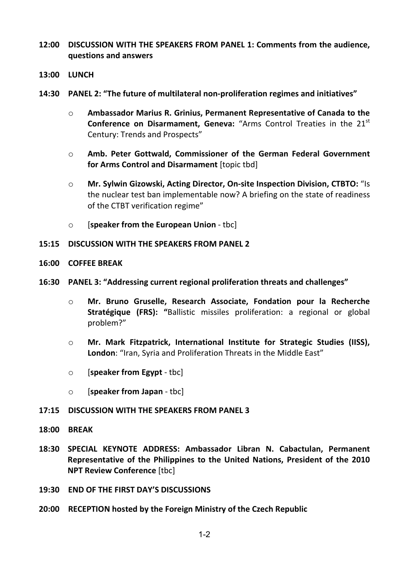- **12:00 DISCUSSION WITH THE SPEAKERS FROM PANEL 1: Comments from the audience, questions and answers**
- **13:00 LUNCH**
- **14:30 PANEL 2: "The future of multilateral non-proliferation regimes and initiatives"** 
	- o **Ambassador Marius R. Grinius, Permanent Representative of Canada to the Conference on Disarmament, Geneva:** "Arms Control Treaties in the 21<sup>st</sup> Century: Trends and Prospects"
	- o **Amb. Peter Gottwald, Commissioner of the German Federal Government for Arms Control and Disarmament** [topic tbd]
	- o **Mr. Sylwin Gizowski, Acting Director, On-site Inspection Division, CTBTO:** "Is the nuclear test ban implementable now? A briefing on the state of readiness of the CTBT verification regime"
	- o [**speaker from the European Union** tbc]

#### **15:15 DISCUSSION WITH THE SPEAKERS FROM PANEL 2**

**16:00 COFFEE BREAK** 

#### **16:30 PANEL 3: "Addressing current regional proliferation threats and challenges"**

- o **Mr. Bruno Gruselle, Research Associate, Fondation pour la Recherche Stratégique (FRS): "**Ballistic missiles proliferation: a regional or global problem?"
- o **Mr. Mark Fitzpatrick, International Institute for Strategic Studies (IISS), London**: "Iran, Syria and Proliferation Threats in the Middle East"
- o [**speaker from Egypt** tbc]
- o [**speaker from Japan** tbc]
- **17:15 DISCUSSION WITH THE SPEAKERS FROM PANEL 3**
- **18:00 BREAK**
- **18:30 SPECIAL KEYNOTE ADDRESS: Ambassador Libran N. Cabactulan, Permanent Representative of the Philippines to the United Nations, President of the 2010 NPT Review Conference** [tbc]
- **19:30 END OF THE FIRST DAY'S DISCUSSIONS**
- **20:00 RECEPTION hosted by the Foreign Ministry of the Czech Republic**